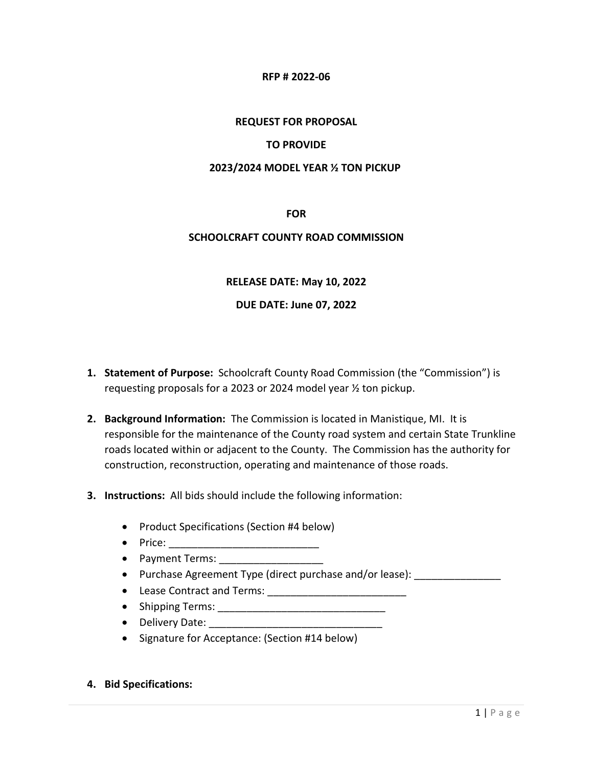## **RFP # 2022-06**

# **REQUEST FOR PROPOSAL**

# **TO PROVIDE**

## **2023/2024 MODEL YEAR ½ TON PICKUP**

**FOR**

# **SCHOOLCRAFT COUNTY ROAD COMMISSION**

# **RELEASE DATE: May 10, 2022**

# **DUE DATE: June 07, 2022**

- **1. Statement of Purpose:** Schoolcraft County Road Commission (the "Commission") is requesting proposals for a 2023 or 2024 model year ½ ton pickup.
- **2. Background Information:** The Commission is located in Manistique, MI. It is responsible for the maintenance of the County road system and certain State Trunkline roads located within or adjacent to the County. The Commission has the authority for construction, reconstruction, operating and maintenance of those roads.
- **3. Instructions:** All bids should include the following information:
	- Product Specifications (Section #4 below)
	- $\bullet$  Price:
	- Payment Terms:
	- Purchase Agreement Type (direct purchase and/or lease):
	- Lease Contract and Terms: \_\_\_\_\_\_\_\_\_\_\_\_\_\_\_\_\_\_\_\_\_\_\_\_
	- Shipping Terms: \_\_\_\_\_\_\_\_\_\_\_\_\_\_\_\_\_\_\_\_\_\_\_\_\_\_\_\_\_
	- Delivery Date:
	- Signature for Acceptance: (Section #14 below)
- **4. Bid Specifications:**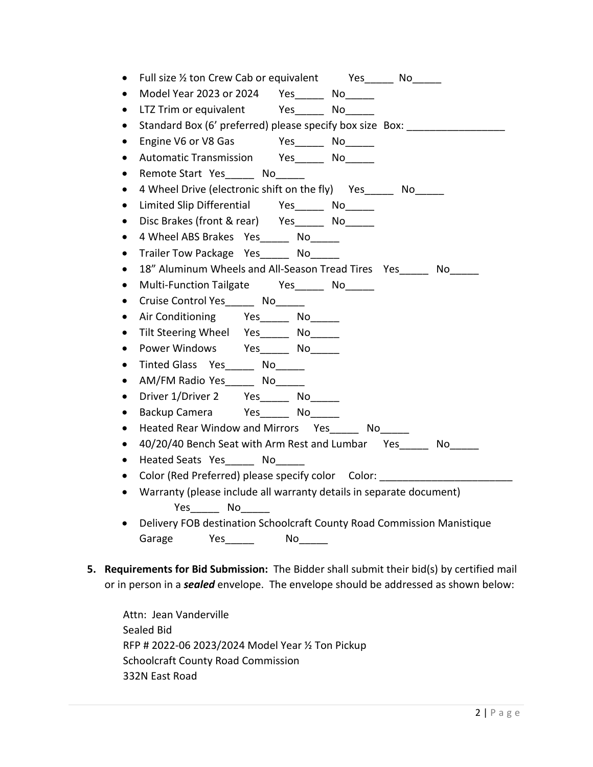|           | Full size 1/2 ton Crew Cab or equivalent Yes _______ No ______         |
|-----------|------------------------------------------------------------------------|
|           | Model Year 2023 or 2024  Yes ______ No______                           |
| $\bullet$ | LTZ Trim or equivalent Yes No                                          |
|           | Standard Box (6' preferred) please specify box size Box:               |
|           | Yes_____________ No_________<br>Engine V6 or V8 Gas                    |
|           |                                                                        |
| $\bullet$ | Remote Start Yes No                                                    |
| $\bullet$ | 4 Wheel Drive (electronic shift on the fly) Yes_____ No_____           |
| $\bullet$ | Limited Slip Differential Yes______ No______                           |
| $\bullet$ | Disc Brakes (front & rear) Yes _______ No______                        |
|           | 4 Wheel ABS Brakes Yes ______ No______                                 |
| $\bullet$ | Trailer Tow Package Yes_____ No_                                       |
|           | 18" Aluminum Wheels and All-Season Tread Tires Yes______ No_____       |
|           | Multi-Function Tailgate Yes No                                         |
|           | Cruise Control Yes No                                                  |
| $\bullet$ | Air Conditioning Yes______ No______                                    |
|           | Tilt Steering Wheel Yes______ No_____                                  |
|           | Power Windows Yes______ No______                                       |
| $\bullet$ | Tinted Glass Yes ______ No______                                       |
| $\bullet$ | AM/FM Radio Yes No LIGINAL                                             |
| $\bullet$ | Driver 1/Driver 2 Yes _______ No______                                 |
|           | Backup Camera Yes No                                                   |
|           | Heated Rear Window and Mirrors Yes______ No_____                       |
|           | 40/20/40 Bench Seat with Arm Rest and Lumbar Yes______ No_____         |
|           | Heated Seats Yes No                                                    |
|           | Color (Red Preferred) please specify color    Color:                   |
|           | Warranty (please include all warranty details in separate document)    |
|           | Yes_________ No_______                                                 |
|           | Delivery FOB destination Schoolcraft County Road Commission Manistique |
|           | Garage<br><b>Solution Yes</b>                                          |

**5. Requirements for Bid Submission:** The Bidder shall submit their bid(s) by certified mail or in person in a *sealed* envelope. The envelope should be addressed as shown below:

Attn: Jean Vanderville Sealed Bid RFP # 2022-06 2023/2024 Model Year ½ Ton Pickup Schoolcraft County Road Commission 332N East Road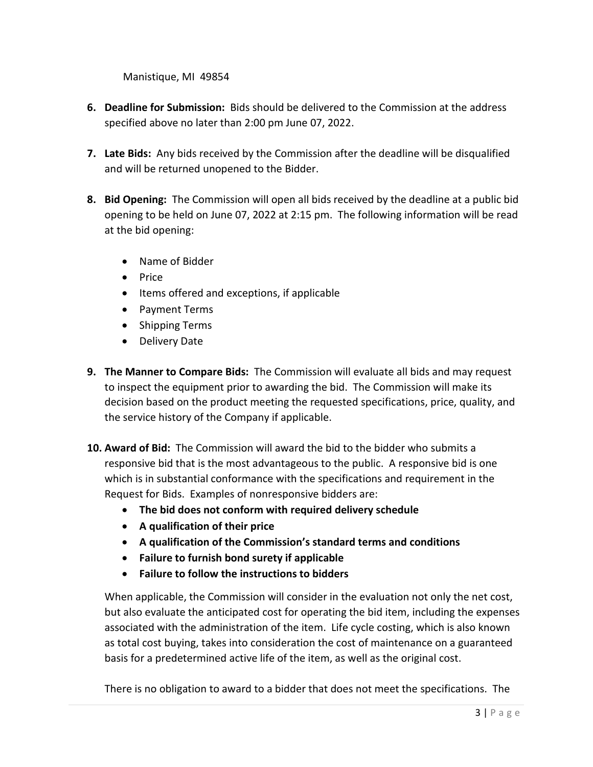Manistique, MI 49854

- **6. Deadline for Submission:** Bids should be delivered to the Commission at the address specified above no later than 2:00 pm June 07, 2022.
- **7. Late Bids:** Any bids received by the Commission after the deadline will be disqualified and will be returned unopened to the Bidder.
- **8. Bid Opening:** The Commission will open all bids received by the deadline at a public bid opening to be held on June 07, 2022 at 2:15 pm. The following information will be read at the bid opening:
	- Name of Bidder
	- Price
	- Items offered and exceptions, if applicable
	- Payment Terms
	- Shipping Terms
	- Delivery Date
- **9. The Manner to Compare Bids:** The Commission will evaluate all bids and may request to inspect the equipment prior to awarding the bid. The Commission will make its decision based on the product meeting the requested specifications, price, quality, and the service history of the Company if applicable.
- **10. Award of Bid:** The Commission will award the bid to the bidder who submits a responsive bid that is the most advantageous to the public. A responsive bid is one which is in substantial conformance with the specifications and requirement in the Request for Bids. Examples of nonresponsive bidders are:
	- **The bid does not conform with required delivery schedule**
	- **A qualification of their price**
	- **A qualification of the Commission's standard terms and conditions**
	- **Failure to furnish bond surety if applicable**
	- **Failure to follow the instructions to bidders**

When applicable, the Commission will consider in the evaluation not only the net cost, but also evaluate the anticipated cost for operating the bid item, including the expenses associated with the administration of the item. Life cycle costing, which is also known as total cost buying, takes into consideration the cost of maintenance on a guaranteed basis for a predetermined active life of the item, as well as the original cost.

There is no obligation to award to a bidder that does not meet the specifications. The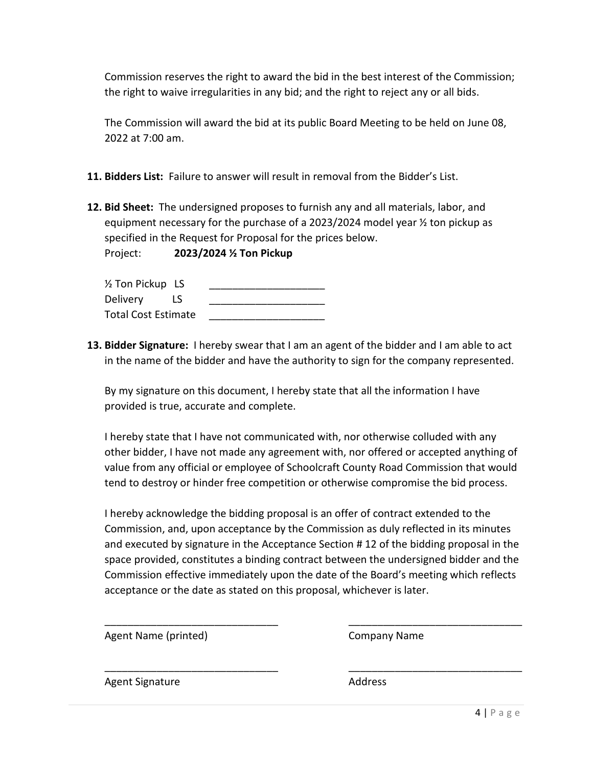Commission reserves the right to award the bid in the best interest of the Commission; the right to waive irregularities in any bid; and the right to reject any or all bids.

The Commission will award the bid at its public Board Meeting to be held on June 08, 2022 at 7:00 am.

- **11. Bidders List:** Failure to answer will result in removal from the Bidder's List.
- **12. Bid Sheet:** The undersigned proposes to furnish any and all materials, labor, and equipment necessary for the purchase of a 2023/2024 model year ½ ton pickup as specified in the Request for Proposal for the prices below.

Project: **2023/2024 ½ Ton Pickup**

| 1/2 Ton Pickup LS          |    |  |
|----------------------------|----|--|
| Delivery                   | LS |  |
| <b>Total Cost Estimate</b> |    |  |

**13. Bidder Signature:** I hereby swear that I am an agent of the bidder and I am able to act in the name of the bidder and have the authority to sign for the company represented.

By my signature on this document, I hereby state that all the information I have provided is true, accurate and complete.

I hereby state that I have not communicated with, nor otherwise colluded with any other bidder, I have not made any agreement with, nor offered or accepted anything of value from any official or employee of Schoolcraft County Road Commission that would tend to destroy or hinder free competition or otherwise compromise the bid process.

I hereby acknowledge the bidding proposal is an offer of contract extended to the Commission, and, upon acceptance by the Commission as duly reflected in its minutes and executed by signature in the Acceptance Section # 12 of the bidding proposal in the space provided, constitutes a binding contract between the undersigned bidder and the Commission effective immediately upon the date of the Board's meeting which reflects acceptance or the date as stated on this proposal, whichever is later.

\_\_\_\_\_\_\_\_\_\_\_\_\_\_\_\_\_\_\_\_\_\_\_\_\_\_\_\_\_\_ \_\_\_\_\_\_\_\_\_\_\_\_\_\_\_\_\_\_\_\_\_\_\_\_\_\_\_\_\_\_

\_\_\_\_\_\_\_\_\_\_\_\_\_\_\_\_\_\_\_\_\_\_\_\_\_\_\_\_\_\_ \_\_\_\_\_\_\_\_\_\_\_\_\_\_\_\_\_\_\_\_\_\_\_\_\_\_\_\_\_\_

Agent Name (printed) Company Name

Agent Signature **Address** Address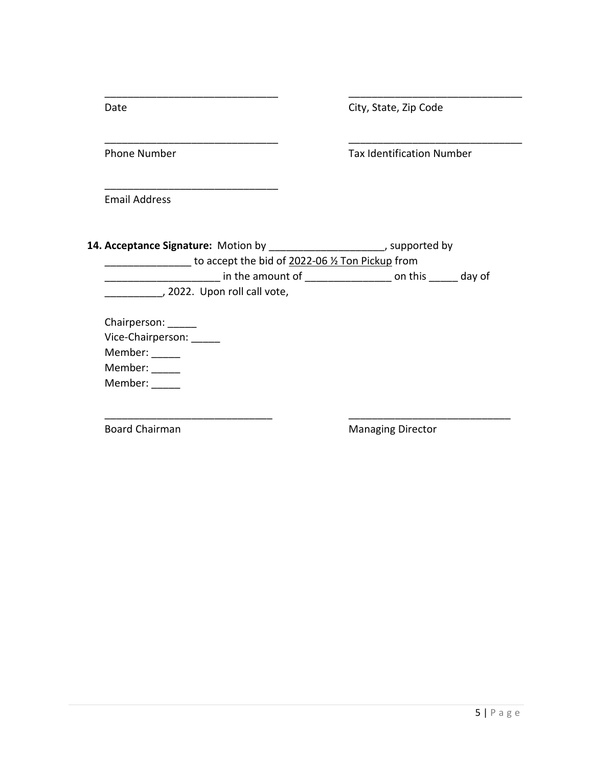| Date                                                                                                                        | City, State, Zip Code                                                      |
|-----------------------------------------------------------------------------------------------------------------------------|----------------------------------------------------------------------------|
| <b>Phone Number</b>                                                                                                         | <b>Tax Identification Number</b>                                           |
| <b>Email Address</b>                                                                                                        |                                                                            |
| 14. Acceptance Signature: Motion by _______________________, supported by<br>to accept the bid of 2022-06 % Ton Pickup from |                                                                            |
|                                                                                                                             | <u>__________</u> in the amount of _________________ on this ______ day of |
| 2022. Upon roll call vote,                                                                                                  |                                                                            |
| Chairperson: ______                                                                                                         |                                                                            |
| Vice-Chairperson: _____                                                                                                     |                                                                            |
| Member: _____                                                                                                               |                                                                            |
| Member: _____                                                                                                               |                                                                            |
| Member:                                                                                                                     |                                                                            |
| <b>Board Chairman</b>                                                                                                       | <b>Managing Director</b>                                                   |